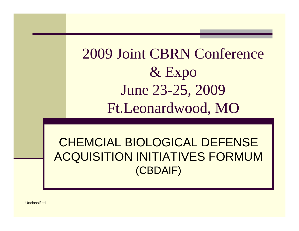2009 Joint CBRN Conference & Expo June 23-25, 2009 Ft.Leonardwood, MO

CHEMCIAL BIOLOGICAL DEFENSE ACQUISITION INITIATIVES FORMUM (CBDAIF)

Unclassified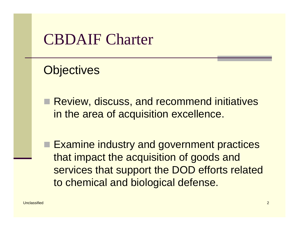### CBDAIF Charter

#### **Objectives**

**Review, discuss, and recommend initiatives** in the area of acquisition excellence.

**Examine industry and government practices** that impact the acquisition of goods and services that support the DOD efforts related to chemical and biological defense.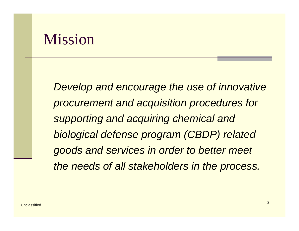#### Mission

*Develop and encourage the use of innovative procurement and acquisition procedures for supporting and acquiring chemical and biological defense program (CBDP) related goods and services in order to better meet the needs of all stakeholders in the process.*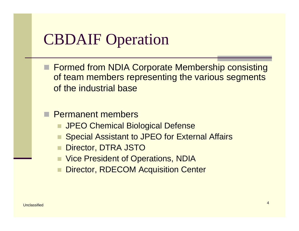## CBDAIF Operation

■ Formed from NDIA Corporate Membership consisting of team members representing the various segments of the industrial base

Permanent members

- JPEO Chemical Biological Defense
- Special Assistant to JPEO for External Affairs
- Director, DTRA JSTO
- Vice President of Operations, NDIA
- Director, RDECOM Acquisition Center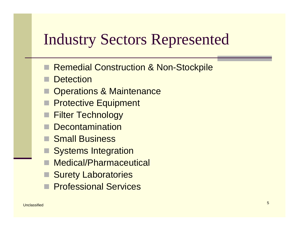## Industry Sectors Represented

- Remedial Construction & Non-Stockpile
- **Detection**
- Operations & Maintenance
- Protective Equipment
- Filter Technology
- **Decontamination**
- Small Business
- Systems Integration
- Medical/Pharmaceutical
- Surety Laboratories
- Professional Services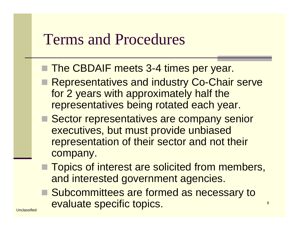#### Terms and Procedures

- **The CBDAIF meets 3-4 times per year.**
- Representatives and industry Co-Chair serve for 2 years with approximately half the representatives being rotated each year.
- Sector representatives are company senior executives, but must provide unbiased representation of their sector and not their company.
- F Topics of interest are solicited from members, and interested government agencies.
- Subcommittees are formed as necessary to **Evaluate specific topics.**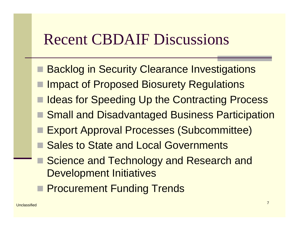## Recent CBDAIF Discussions

- F Backlog in Security Clearance Investigations
- þ. Impact of Proposed Biosurety Regulations
- Ideas for Speeding Up the Contracting Process
- Small and Disadvantaged Business Participation
- Export Approval Processes (Subcommittee)
- F Sales to State and Local Governments
- F Science and Technology and Research and Development Initiatives
- **Reparement Funding Trends**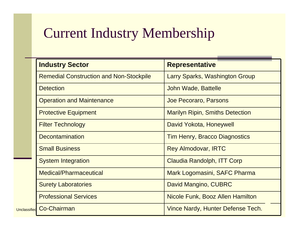### Current Industry Membership

|              | <b>Industry Sector</b>                         | <b>Representative</b>                  |
|--------------|------------------------------------------------|----------------------------------------|
|              | <b>Remedial Construction and Non-Stockpile</b> | <b>Larry Sparks, Washington Group</b>  |
|              | <b>Detection</b>                               | John Wade, Battelle                    |
|              | <b>Operation and Maintenance</b>               | Joe Pecoraro, Parsons                  |
|              | <b>Protective Equipment</b>                    | <b>Marilyn Ripin, Smiths Detection</b> |
|              | <b>Filter Technology</b>                       | David Yokota, Honeywell                |
|              | <b>Decontamination</b>                         | <b>Tim Henry, Bracco Diagnostics</b>   |
|              | <b>Small Business</b>                          | <b>Rey Almodovar, IRTC</b>             |
|              | <b>System Integration</b>                      | <b>Claudia Randolph, ITT Corp</b>      |
|              | <b>Medical/Pharmaceutical</b>                  | Mark Logomasini, SAFC Pharma           |
|              | <b>Surety Laboratories</b>                     | David Mangino, CUBRC                   |
|              | <b>Professional Services</b>                   | Nicole Funk, Booz Allen Hamilton       |
| Unclassified | <b>Co-Chairman</b>                             | Vince Nardy, Hunter Defense Tech.      |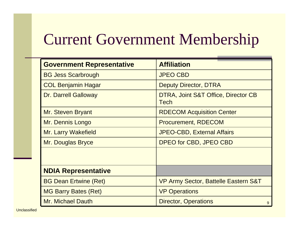## Current Government Membership

| <b>Government Representative</b> | <b>Affiliation</b>                                 |
|----------------------------------|----------------------------------------------------|
| <b>BG Jess Scarbrough</b>        | <b>JPEO CBD</b>                                    |
| <b>COL Benjamin Hagar</b>        | <b>Deputy Director, DTRA</b>                       |
| <b>Dr. Darrell Galloway</b>      | DTRA, Joint S&T Office, Director CB<br><b>Tech</b> |
| Mr. Steven Bryant                | <b>RDECOM Acquisition Center</b>                   |
| Mr. Dennis Longo                 | <b>Procurement, RDECOM</b>                         |
| Mr. Larry Wakefield              | <b>JPEO-CBD, External Affairs</b>                  |
| Mr. Douglas Bryce                | DPEO for CBD, JPEO CBD                             |
|                                  |                                                    |
| <b>NDIA Representative</b>       |                                                    |
| <b>BG Dean Ertwine (Ret)</b>     | <b>VP Army Sector, Battelle Eastern S&amp;T</b>    |
| <b>MG Barry Bates (Ret)</b>      | <b>VP Operations</b>                               |
| Mr. Michael Dauth                | <b>Director, Operations</b><br>9                   |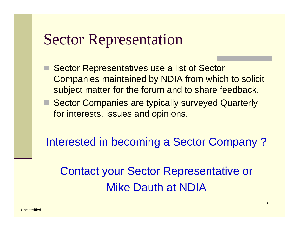#### Sector Representation

- Sector Representatives use a list of Sector Companies maintained by NDIA from which to solicit subject matter for the forum and to share feedback.
- Sector Companies are typically surveyed Quarterly for interests, issues and opinions.

Interested in becoming a Sector Company ?

Contact your Sector Representative or Mike Dauth at NDIA